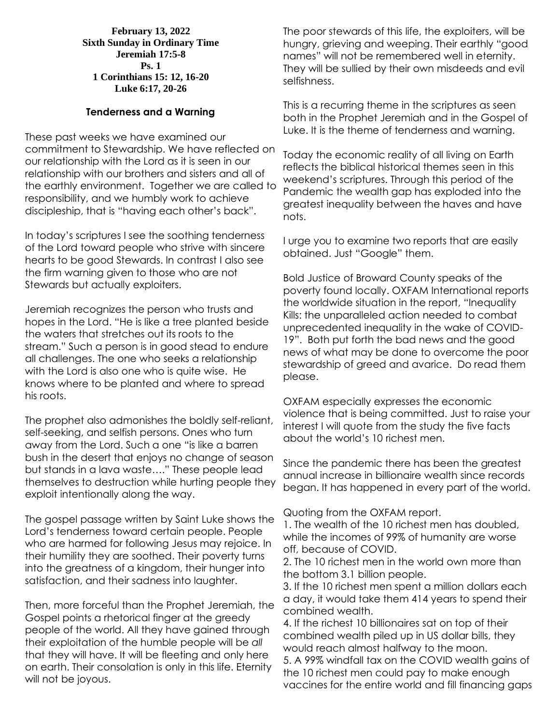**February 13, 2022 Sixth Sunday in Ordinary Time Jeremiah 17:5-8 Ps. 1 1 Corinthians 15: 12, 16-20 Luke 6:17, 20-26**

## **Tenderness and a Warning**

These past weeks we have examined our commitment to Stewardship. We have reflected on our relationship with the Lord as it is seen in our relationship with our brothers and sisters and all of the earthly environment. Together we are called to responsibility, and we humbly work to achieve discipleship, that is "having each other's back".

In today's scriptures I see the soothing tenderness of the Lord toward people who strive with sincere hearts to be good Stewards. In contrast I also see the firm warning given to those who are not Stewards but actually exploiters.

Jeremiah recognizes the person who trusts and hopes in the Lord. "He is like a tree planted beside the waters that stretches out its roots to the stream." Such a person is in good stead to endure all challenges. The one who seeks a relationship with the Lord is also one who is quite wise. He knows where to be planted and where to spread his roots.

The prophet also admonishes the boldly self-reliant, self-seeking, and selfish persons. Ones who turn away from the Lord. Such a one "is like a barren bush in the desert that enjoys no change of season but stands in a lava waste…." These people lead themselves to destruction while hurting people they exploit intentionally along the way.

The gospel passage written by Saint Luke shows the Lord's tenderness toward certain people. People who are harmed for following Jesus may rejoice. In their humility they are soothed. Their poverty turns into the greatness of a kingdom, their hunger into satisfaction, and their sadness into laughter.

Then, more forceful than the Prophet Jeremiah, the Gospel points a rhetorical finger at the greedy people of the world. All they have gained through their exploitation of the humble people will be *all* that they will have. It will be fleeting and only here on earth. Their consolation is only in this life. Eternity will not be joyous.

The poor stewards of this life, the exploiters, will be hungry, grieving and weeping. Their earthly "good names" will not be remembered well in eternity. They will be sullied by their own misdeeds and evil selfishness.

This is a recurring theme in the scriptures as seen both in the Prophet Jeremiah and in the Gospel of Luke. It is the theme of tenderness and warning.

Today the economic reality of all living on Earth reflects the biblical historical themes seen in this weekend's scriptures. Through this period of the Pandemic the wealth gap has exploded into the greatest inequality between the haves and have nots.

I urge you to examine two reports that are easily obtained. Just "Google" them.

Bold Justice of Broward County speaks of the poverty found locally. OXFAM International reports the worldwide situation in the report, "Inequality Kills: the unparalleled action needed to combat unprecedented inequality in the wake of COVID-19". Both put forth the bad news and the good news of what may be done to overcome the poor stewardship of greed and avarice. Do read them please.

OXFAM especially expresses the economic violence that is being committed. Just to raise your interest I will quote from the study the five facts about the world's 10 richest men.

Since the pandemic there has been the greatest annual increase in billionaire wealth since records began. It has happened in every part of the world.

Quoting from the OXFAM report.

1. The wealth of the 10 richest men has doubled, while the incomes of 99% of humanity are worse off, because of COVID.

2. The 10 richest men in the world own more than the bottom 3.1 billion people.

3. If the 10 richest men spent a million dollars each a day, it would take them 414 years to spend their combined wealth.

4. If the richest 10 billionaires sat on top of their combined wealth piled up in US dollar bills, they would reach almost halfway to the moon.

5. A 99% windfall tax on the COVID wealth gains of the 10 richest men could pay to make enough vaccines for the entire world and fill financing gaps